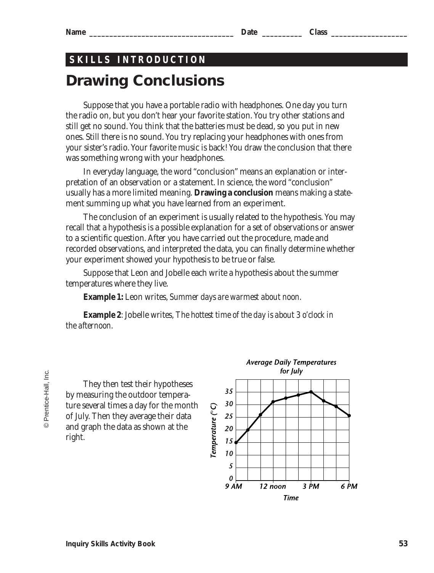#### **Name \_\_\_\_\_\_\_\_\_\_\_\_\_\_\_\_\_\_\_\_\_\_\_\_\_\_\_\_\_\_\_\_\_\_\_\_ Date \_\_\_\_\_\_\_\_\_\_ Class \_\_\_\_\_\_\_\_\_\_\_\_\_\_\_\_\_\_\_**

# **Drawing Conclusions SKILLS INTRODUCTION**

Suppose that you have a portable radio with headphones. One day you turn the radio on, but you don't hear your favorite station. You try other stations and still get no sound. You think that the batteries must be dead, so you put in new ones. Still there is no sound. You try replacing your headphones with ones from your sister's radio. Your favorite music is back! You draw the conclusion that there was something wrong with your headphones.

In everyday language, the word "conclusion" means an explanation or interpretation of an observation or a statement. In science, the word "conclusion" usually has a more limited meaning. **Drawing a conclusion** means making a statement summing up what you have learned from an experiment.

The conclusion of an experiment is usually related to the hypothesis. You may recall that a hypothesis is a possible explanation for a set of observations or answer to a scientific question. After you have carried out the procedure, made and recorded observations, and interpreted the data, you can finally determine whether your experiment showed your hypothesis to be true or false.

Suppose that Leon and Jobelle each write a hypothesis about the summer temperatures where they live.

**Example 1:** Leon writes, *Summer days are warmest about noon.*

**Example 2**: Jobelle writes, *The hottest time of the day is about 3 o'clock in the afternoon.*

They then test their hypotheses by measuring the outdoor temperature several times a day for the month of July. Then they average their data and graph the data as shown at the right.

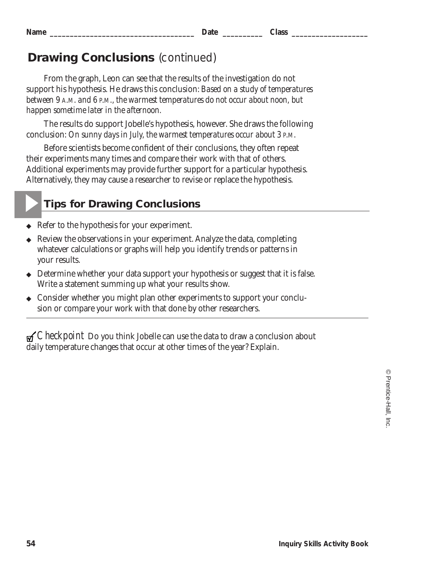▲

## **Drawing Conclusions** *(continued)*

From the graph, Leon can see that the results of the investigation do not support his hypothesis. He draws this conclusion: *Based on a study of temperatures between 9 A.M. and 6 P.M., the warmest temperatures do not occur about noon, but happen sometime later in the afternoon.*

The results do support Jobelle's hypothesis, however. She draws the following conclusion: *On sunny days in July, the warmest temperatures occur about 3 P.M.*

Before scientists become confident of their conclusions, they often repeat their experiments many times and compare their work with that of others. Additional experiments may provide further support for a particular hypothesis. Alternatively, they may cause a researcher to revise or replace the hypothesis.

## **Tips for Drawing Conclusions**

- ◆ Refer to the hypothesis for your experiment.
- Review the observations in your experiment. Analyze the data, completing whatever calculations or graphs will help you identify trends or patterns in your results.
- ◆ Determine whether your data support your hypothesis or suggest that it is false. Write a statement summing up what your results show.
- ◆ Consider whether you might plan other experiments to support your conclusion or compare your work with that done by other researchers.

*Checkpoint* Do you think Jobelle can use the data to draw a conclusion about daily temperature changes that occur at other times of the year? Explain.